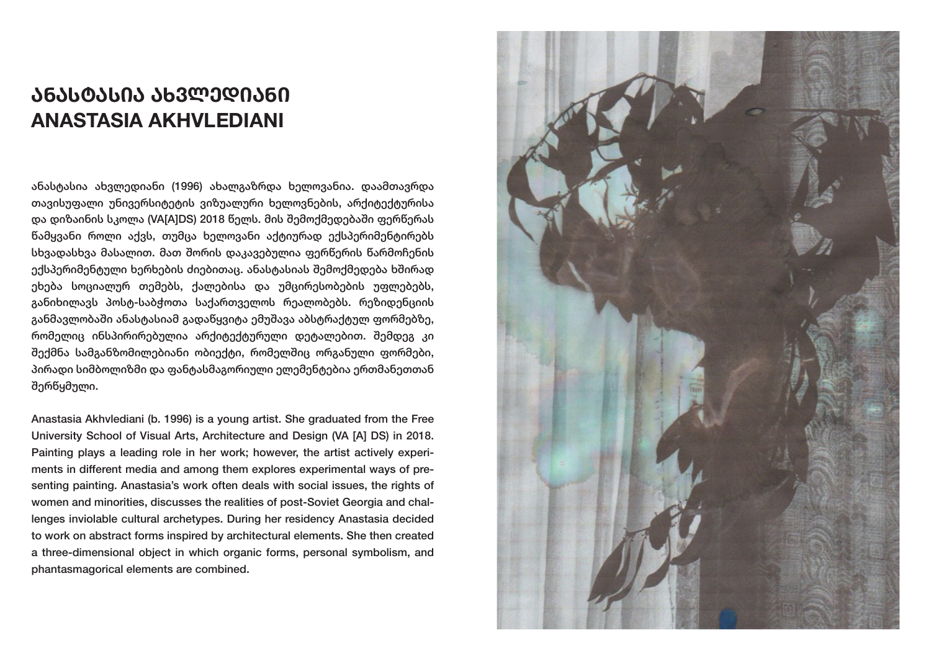# **ᲐᲜᲐᲡᲢᲐᲡᲘᲐ ᲐᲮᲕᲚᲔᲓᲘᲐᲜᲘ ANASTASIA AKHVLEDIANI**

ანასტასია ახვლედიანი (1996) ახალგაზრდა ხელოვანია. დაამთავრდა თავისუფალი უნივერსიტეტის ვიზუალური ხელოვნების, არქიტექტურისა და დიზაინის სკოლა (VA[A]DS) 2018 წელს. მის შემოქმედებაში ფერწერას წამყვანი როლი აქვს, თუმცა ხელოვანი აქტიურად ექსპერიმენტირებს სხვადასხვა მასალით. მათ შორის დაკავებულია ფერწერის წარმოჩენის ექსპერიმენტული ხერხების ძიებითაც. ანასტასიას შემოქმედება ხშირად ეხება სოციალურ თემებს, ქალებისა და უმცირესობების უფლებებს, განიხილავს პოსტ-საბჭოთა საქართველოს რეალობებს. რეზიდენციის განმავლობაში ანასტასიამ გადაწყვიტა ემუშავა აბსტრაქტულ ფორმებზე, რომელიც ინსპირირებულია არქიტექტურული დეტალებით. შემდეგ კი შექმნა სამგანზომილებიანი ობიექტი, რომელშიც ორგანული ფორმები, პირადი სიმბოლიზმი და ფანტასმაგორიული ელემენტებია ერთმანეთთან შერწყმული.

Anastasia Akhvlediani (b. 1996) is a young artist. She graduated from the Free University School of Visual Arts, Architecture and Design (VA [A] DS) in 2018. Painting plays a leading role in her work; however, the artist actively experiments in different media and among them explores experimental ways of presenting painting. Anastasia's work often deals with social issues, the rights of women and minorities, discusses the realities of post-Soviet Georgia and challenges inviolable cultural archetypes. During her residency Anastasia decided to work on abstract forms inspired by architectural elements. She then created a three-dimensional object in which organic forms, personal symbolism, and phantasmagorical elements are combined.

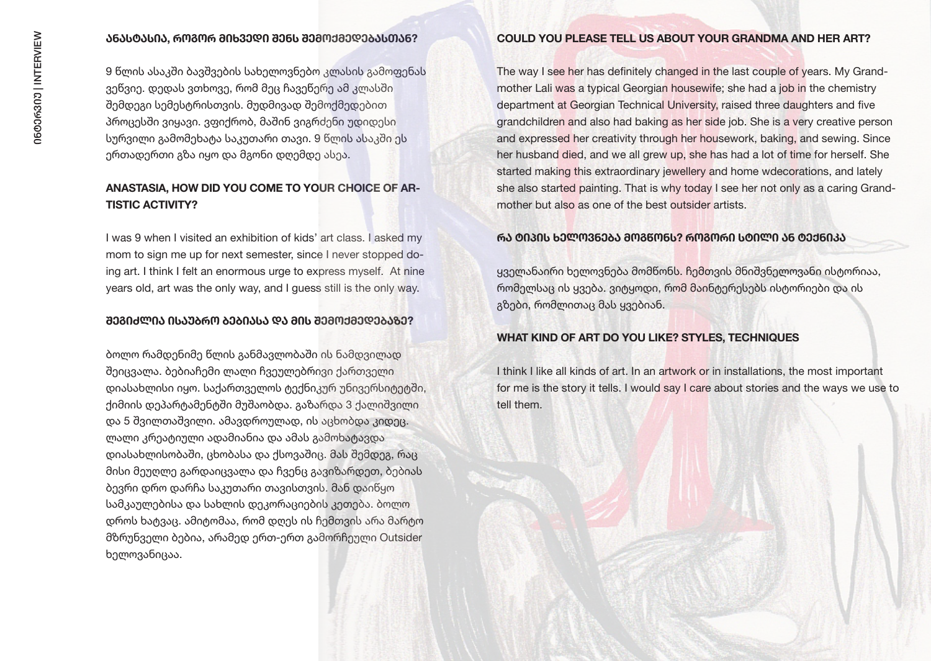#### **ᲐᲜᲐᲡᲢᲐᲡᲘᲐ, ᲠᲝᲒᲝᲠ ᲛᲘᲮᲕᲔᲓᲘ ᲨᲔᲜᲡ ᲨᲔᲛᲝᲥᲛᲔᲓᲔᲑᲐᲡᲗᲐᲜ?**

9 წლის ასაკში ბავშვების სახელოვნებო კლასის გამოფენას ვეწვიე. დედას ვთხოვე, რომ მეც ჩავეწერე ამ კლასში შემდეგი სემესტრისთვის. მუდმივად შემოქმედებით პროცესში ვიყავი. ვფიქრობ, მაშინ ვიგრძენი უდიდესი სურვილი გამომეხატა საკუთარი თავი. 9 წლის ასაკში ეს ერთადერთი გზა იყო და მგონი დღემდე ასეა.

## **ANASTASIA, HOW DID YOU COME TO YOUR CHOICE OF AR-TISTIC ACTIVITY?**

I was 9 when I visited an exhibition of kids' art class. I asked my mom to sign me up for next semester, since I never stopped doing art. I think I felt an enormous urge to express myself. At nine years old, art was the only way, and I guess still is the only way.

#### **ᲨᲔᲒᲘᲫᲚᲘᲐ ᲘᲡᲐᲣᲑᲠᲝ ᲑᲔᲑᲘᲐᲡᲐ ᲓᲐ ᲛᲘᲡ ᲨᲔᲛᲝᲥᲛᲔᲓᲔᲑᲐᲖᲔ?**

ბოლო რამდენიმე წლის განმავლობაში ის ნამდვილად შეიცვალა. ბებიაჩემი ლალი ჩვეულებრივი ქართველი დიასახლისი იყო. საქართველოს ტექნიკურ უნივერსიტეტში, ქიმიის დეპარტამენტში მუშაობდა. გაზარდა 3 ქალიშვილი და 5 შვილთაშვილი. ამავდროულად, ის აცხობდა კიდეც. ლალი კრეატიული ადამიანია და ამას გამოხატავდა დიასახლისობაში, ცხობასა და ქსოვაშიც. მას შემდეგ, რაც მისი მეუღლე გარდაიცვალა და ჩვენც გავიზარდეთ, ბებიას ბევრი დრო დარჩა საკუთარი თავისთვის. მან დაიწყო სამკაულებისა და სახლის დეკორაციების კეთება. ბოლო დროს ხატვაც. ამიტომაა, რომ დღეს ის ჩემთვის არა მარტო მზრუნველი ბებია, არამედ ერთ-ერთ გამორჩეული Outsider ხელოვანიცაა.

#### **COULD YOU PLEASE TELL US ABOUT YOUR GRANDMA AND HER ART?**

The way I see her has definitely changed in the last couple of years. My Grandmother Lali was a typical Georgian housewife; she had a job in the chemistry department at Georgian Technical University, raised three daughters and five grandchildren and also had baking as her side job. She is a very creative person and expressed her creativity through her housework, baking, and sewing. Since her husband died, and we all grew up, she has had a lot of time for herself. She started making this extraordinary jewellery and home wdecorations, and lately she also started painting. That is why today I see her not only as a caring Grandmother but also as one of the best outsider artists.

## **ᲠᲐ ᲢᲘᲞᲘᲡ ᲮᲔᲚᲝᲕᲜᲔᲑᲐ ᲛᲝᲒᲬᲝᲜᲡ? ᲠᲝᲒᲝᲠᲘ ᲡᲢᲘᲚᲘ ᲐᲜ ᲢᲔᲥᲜᲘᲙᲐ**

ყველანაირი ხელოვნება მომწონს. ჩემთვის მნიშვნელოვანი ისტორიაა, რომელსაც ის ყვება. ვიტყოდი, რომ მაინტერესებს ისტორიები და ის გზები, რომლითაც მას ყვებიან.

#### **WHAT KIND OF ART DO YOU LIKE? STYLES, TECHNIQUES**

I think I like all kinds of art. In an artwork or in installations, the most important for me is the story it tells. I would say I care about stories and the ways we use to tell them.